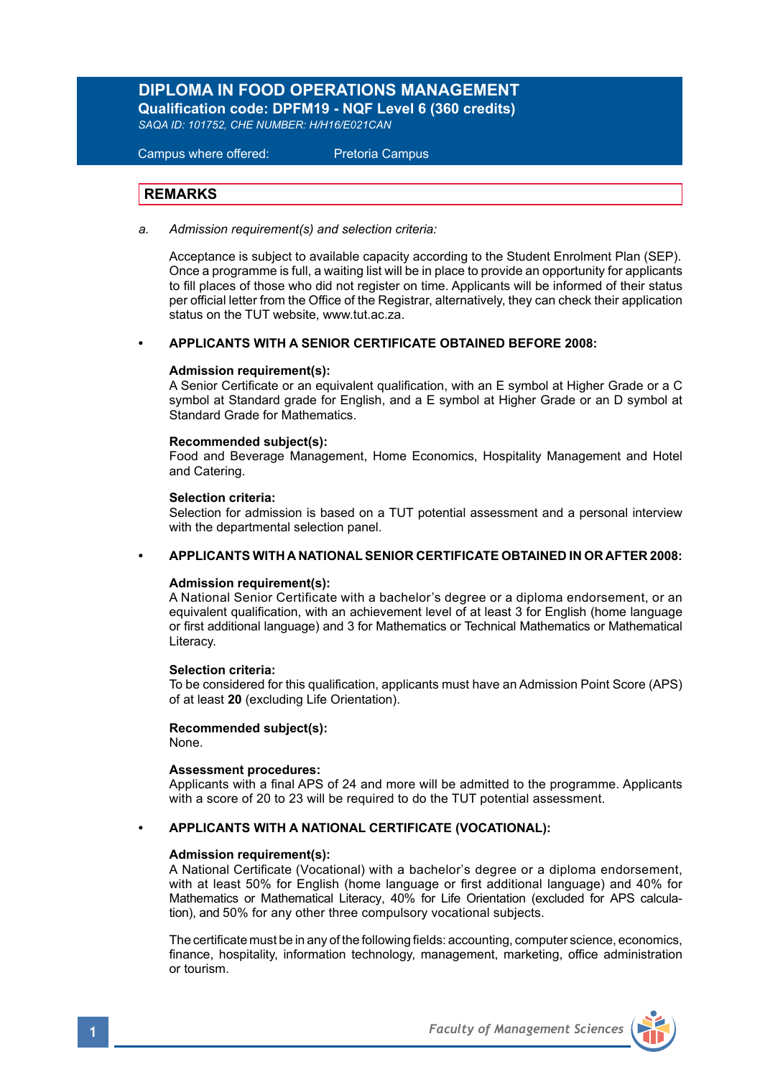## **DIPLOMA IN FOOD OPERATIONS MANAGEMENT**

**Qualification code: DPFM19 - NQF Level 6 (360 credits)** 

*SAQA ID: 101752, CHE NUMBER: H/H16/E021CAN*

 Campus where offered: Pretoria Campus

## **REMARKS**

*a. Admission requirement(s) and selection criteria:*

Acceptance is subject to available capacity according to the Student Enrolment Plan (SEP). Once a programme is full, a waiting list will be in place to provide an opportunity for applicants to fill places of those who did not register on time. Applicants will be informed of their status per official letter from the Office of the Registrar, alternatively, they can check their application status on the TUT website, www.tut.ac.za.

## **• APPLICANTS WITH A SENIOR CERTIFICATE OBTAINED BEFORE 2008:**

### **Admission requirement(s):**

A Senior Certificate or an equivalent qualification, with an E symbol at Higher Grade or a C symbol at Standard grade for English, and a E symbol at Higher Grade or an D symbol at Standard Grade for Mathematics.

### **Recommended subject(s):**

Food and Beverage Management, Home Economics, Hospitality Management and Hotel and Catering.

### **Selection criteria:**

Selection for admission is based on a TUT potential assessment and a personal interview with the departmental selection panel.

### **• APPLICANTS WITH A NATIONAL SENIOR CERTIFICATE OBTAINED IN OR AFTER 2008:**

### **Admission requirement(s):**

A National Senior Certificate with a bachelor's degree or a diploma endorsement, or an equivalent qualification, with an achievement level of at least 3 for English (home language or first additional language) and 3 for Mathematics or Technical Mathematics or Mathematical Literacy.

### **Selection criteria:**

To be considered for this qualification, applicants must have an Admission Point Score (APS) of at least **20** (excluding Life Orientation).

### **Recommended subject(s):**

None.

### **Assessment procedures:**

Applicants with a final APS of 24 and more will be admitted to the programme. Applicants with a score of 20 to 23 will be required to do the TUT potential assessment.

### **• APPLICANTS WITH A NATIONAL CERTIFICATE (VOCATIONAL):**

## **Admission requirement(s):**

A National Certificate (Vocational) with a bachelor's degree or a diploma endorsement, with at least 50% for English (home language or first additional language) and 40% for Mathematics or Mathematical Literacy, 40% for Life Orientation (excluded for APS calculation), and 50% for any other three compulsory vocational subjects.

The certificate must be in any of the following fields: accounting, computer science, economics, finance, hospitality, information technology, management, marketing, office administration or tourism.

**1** *Faculty of Management Sciences*

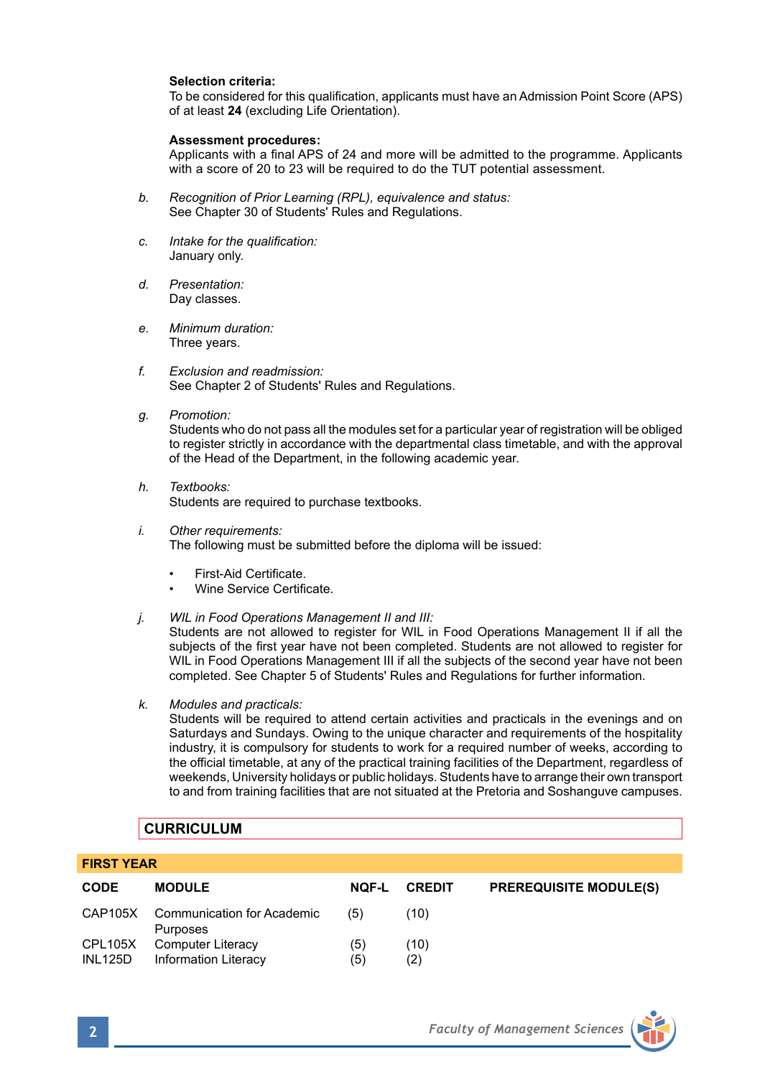### **Selection criteria:**

To be considered for this qualification, applicants must have an Admission Point Score (APS) of at least **24** (excluding Life Orientation).

### **Assessment procedures:**

Applicants with a final APS of 24 and more will be admitted to the programme. Applicants with a score of 20 to 23 will be required to do the TUT potential assessment.

- *b. Recognition of Prior Learning (RPL), equivalence and status:* See Chapter 30 of Students' Rules and Regulations.
- *c. Intake for the qualification:* January only.
- *d. Presentation:* Day classes.
- *e. Minimum duration:* Three years.
- *f. Exclusion and readmission:* See Chapter 2 of Students' Rules and Regulations.
- *g. Promotion:*

Students who do not pass all the modules set for a particular year of registration will be obliged to register strictly in accordance with the departmental class timetable, and with the approval of the Head of the Department, in the following academic year.

- *h. Textbooks:* Students are required to purchase textbooks.
- *i. Other requirements:* The following must be submitted before the diploma will be issued:
	- First-Aid Certificate.
	- Wine Service Certificate.
- *j. WIL in Food Operations Management II and III:*

 Students are not allowed to register for WIL in Food Operations Management II if all the subjects of the first year have not been completed. Students are not allowed to register for WIL in Food Operations Management III if all the subjects of the second year have not been completed. See Chapter 5 of Students' Rules and Regulations for further information.

*k. Modules and practicals:*

Students will be required to attend certain activities and practicals in the evenings and on Saturdays and Sundays. Owing to the unique character and requirements of the hospitality industry, it is compulsory for students to work for a required number of weeks, according to the official timetable, at any of the practical training facilities of the Department, regardless of weekends, University holidays or public holidays. Students have to arrange their own transport to and from training facilities that are not situated at the Pretoria and Soshanguve campuses.

### **CURRICULUM**

### **FIRST YEAR**

| <b>CODE</b>               | <b>MODULE</b>                                  | <b>NOF-L</b> | <b>CREDIT</b> | <b>PREREQUISITE MODULE(S)</b> |
|---------------------------|------------------------------------------------|--------------|---------------|-------------------------------|
|                           | CAP105X Communication for Academic<br>Purposes | (5)          | (10)          |                               |
| CPL105X<br><b>INL125D</b> | Computer Literacy<br>Information Literacy      | (5)<br>(5)   | (10)<br>(2)   |                               |

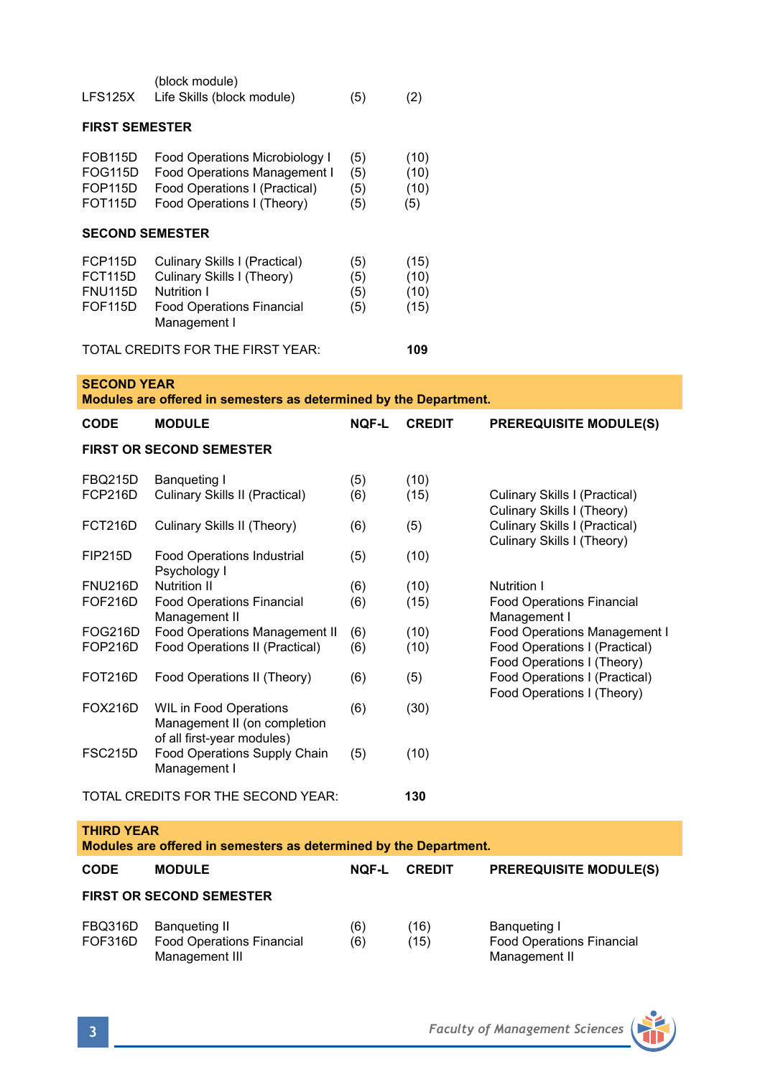| LFS125X                                                                                 | (block module)<br>Life Skills (block module)                                                                                   | (5)                      | (2)                          |                                                                                           |  |  |  |
|-----------------------------------------------------------------------------------------|--------------------------------------------------------------------------------------------------------------------------------|--------------------------|------------------------------|-------------------------------------------------------------------------------------------|--|--|--|
| <b>FIRST SEMESTER</b>                                                                   |                                                                                                                                |                          |                              |                                                                                           |  |  |  |
| FOB115D<br>FOG115D<br>FOP115D<br>FOT115D                                                | Food Operations Microbiology I<br>Food Operations Management I<br>Food Operations I (Practical)<br>Food Operations I (Theory)  | (5)<br>(5)<br>(5)<br>(5) | (10)<br>(10)<br>(10)<br>(5)  |                                                                                           |  |  |  |
| <b>SECOND SEMESTER</b>                                                                  |                                                                                                                                |                          |                              |                                                                                           |  |  |  |
| FCP115D<br>FCT115D<br><b>FNU115D</b><br><b>FOF115D</b>                                  | Culinary Skills I (Practical)<br>Culinary Skills I (Theory)<br>Nutrition I<br><b>Food Operations Financial</b><br>Management I | (5)<br>(5)<br>(5)<br>(5) | (15)<br>(10)<br>(10)<br>(15) |                                                                                           |  |  |  |
| TOTAL CREDITS FOR THE FIRST YEAR:                                                       |                                                                                                                                |                          | 109                          |                                                                                           |  |  |  |
| <b>SECOND YEAR</b><br>Modules are offered in semesters as determined by the Department. |                                                                                                                                |                          |                              |                                                                                           |  |  |  |
| CODE                                                                                    | <b>MODULE</b>                                                                                                                  | <b>NQF-L</b>             | <b>CREDIT</b>                | <b>PREREQUISITE MODULE(S)</b>                                                             |  |  |  |
| <b>FIRST OR SECOND SEMESTER</b>                                                         |                                                                                                                                |                          |                              |                                                                                           |  |  |  |
|                                                                                         |                                                                                                                                |                          |                              |                                                                                           |  |  |  |
| FBQ215D<br>FCP216D                                                                      | Banqueting I<br>Culinary Skills II (Practical)                                                                                 | (5)<br>(6)               | (10)<br>(15)                 | Culinary Skills I (Practical)                                                             |  |  |  |
| FCT216D                                                                                 | Culinary Skills II (Theory)                                                                                                    | (6)                      | (5)                          | Culinary Skills I (Theory)<br>Culinary Skills I (Practical)<br>Culinary Skills I (Theory) |  |  |  |
| <b>FIP215D</b>                                                                          | <b>Food Operations Industrial</b><br>Psychology I                                                                              | (5)                      | (10)                         |                                                                                           |  |  |  |
| FNU216D                                                                                 | <b>Nutrition II</b>                                                                                                            | (6)                      | (10)                         | Nutrition I                                                                               |  |  |  |
| FOF216D                                                                                 | <b>Food Operations Financial</b><br>Management II                                                                              | (6)                      | (15)                         | <b>Food Operations Financial</b><br>Management I                                          |  |  |  |
| FOG216D                                                                                 | Food Operations Management II                                                                                                  | (6)                      | (10)                         | Food Operations Management I                                                              |  |  |  |
| FOP216D                                                                                 | Food Operations II (Practical)                                                                                                 | (6)                      | (10)                         | Food Operations I (Practical)                                                             |  |  |  |
| FOT216D                                                                                 | Food Operations II (Theory)                                                                                                    | (6)                      | (5)                          | Food Operations I (Theory)<br>Food Operations I (Practical)<br>Food Operations I (Theory) |  |  |  |
| <b>FOX216D</b>                                                                          | <b>WIL in Food Operations</b><br>Management II (on completion<br>of all first-year modules)                                    | (6)                      | (30)                         |                                                                                           |  |  |  |
| FSC215D                                                                                 | Food Operations Supply Chain<br>Management I                                                                                   | (5)                      | (10)                         |                                                                                           |  |  |  |
| TOTAL CREDITS FOR THE SECOND YEAR:                                                      |                                                                                                                                |                          | 130                          |                                                                                           |  |  |  |
| <b>THIRD YEAR</b><br>Modules are offered in semesters as determined by the Department.  |                                                                                                                                |                          |                              |                                                                                           |  |  |  |
|                                                                                         |                                                                                                                                |                          |                              |                                                                                           |  |  |  |
| <b>CODE</b>                                                                             | <b>MODULE</b>                                                                                                                  | <b>NOF-L</b>             | <b>CREDIT</b>                | <b>PREREQUISITE MODULE(S)</b>                                                             |  |  |  |
| <b>FIRST OR SECOND SEMESTER</b>                                                         |                                                                                                                                |                          |                              |                                                                                           |  |  |  |
| FBQ316D<br>FOF316D                                                                      | Banqueting II<br><b>Food Operations Financial</b>                                                                              | (6)<br>(6)               | (16)<br>(15)                 | Banqueting I<br><b>Food Operations Financial</b>                                          |  |  |  |

Management III Management II

**3** *Faculty of Management Sciences*

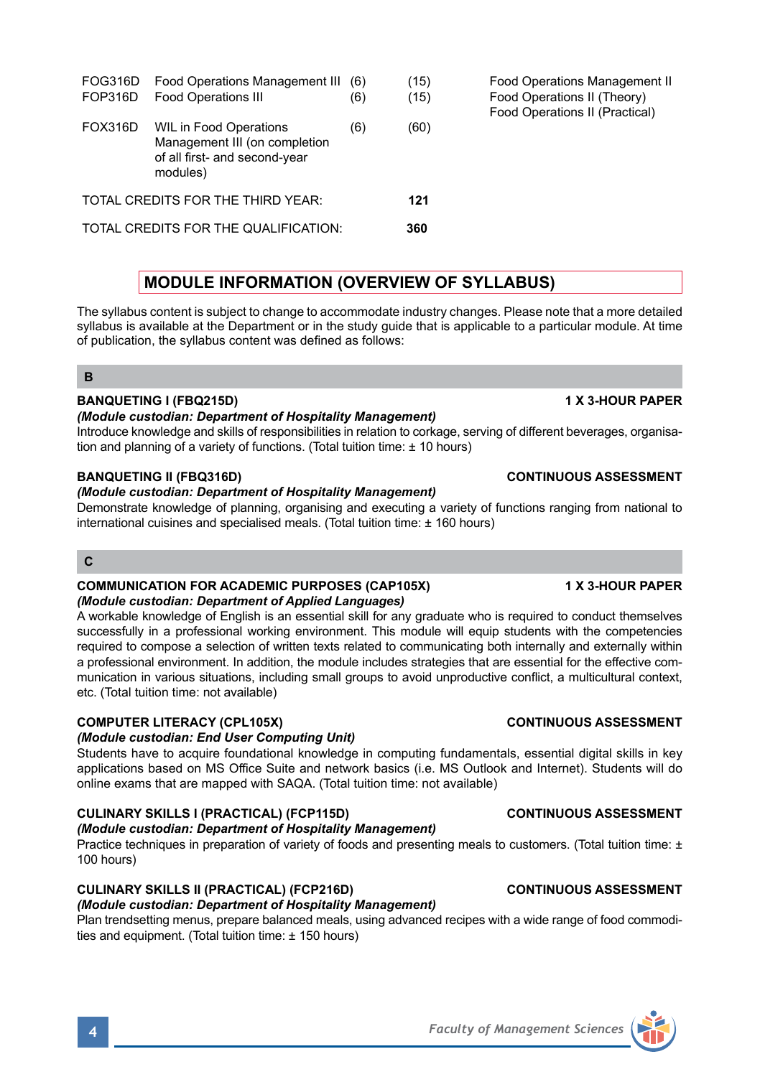FOG316D Food Operations Management III (6) (15) Food Operations Management II<br>FOP316D Food Operations III (6) (15) Food Operations II (Theory) FOP316D Food Operations III (6) (15) FOX316D WIL in Food Operations (6) (60) Management III (on completion of all first- and second-year modules) TOTAL CREDITS FOR THE THIRD YEAR: **121** TOTAL CREDITS FOR THE QUALIFICATION: **360**

## **MODULE INFORMATION (OVERVIEW OF SYLLABUS)**

The syllabus content is subject to change to accommodate industry changes. Please note that a more detailed syllabus is available at the Department or in the study guide that is applicable to a particular module. At time of publication, the syllabus content was defined as follows:

### **B**

## **BANQUETING I (FBQ215D)** 1 X 3-HOUR PAPER

## *(Module custodian: Department of Hospitality Management)*

Introduce knowledge and skills of responsibilities in relation to corkage, serving of different beverages, organisation and planning of a variety of functions. (Total tuition time: ± 10 hours)

## *(Module custodian: Department of Hospitality Management)*

Demonstrate knowledge of planning, organising and executing a variety of functions ranging from national to international cuisines and specialised meals. (Total tuition time: ± 160 hours)

### $\mathbf{C}$

### **COMMUNICATION FOR ACADEMIC PURPOSES (CAP105X) 1 X 3-HOUR PAPER** *(Module custodian: Department of Applied Languages)*

A workable knowledge of English is an essential skill for any graduate who is required to conduct themselves successfully in a professional working environment. This module will equip students with the competencies required to compose a selection of written texts related to communicating both internally and externally within a professional environment. In addition, the module includes strategies that are essential for the effective communication in various situations, including small groups to avoid unproductive conflict, a multicultural context, etc. (Total tuition time: not available)

## **COMPUTER LITERACY (CPL105X)** COMPUTER LITERACY (CPL105X)

## *(Module custodian: End User Computing Unit)*

Students have to acquire foundational knowledge in computing fundamentals, essential digital skills in key applications based on MS Office Suite and network basics (i.e. MS Outlook and Internet). Students will do online exams that are mapped with SAQA. (Total tuition time: not available)

# **CULINARY SKILLS I (PRACTICAL) (FCP115D) CONTINUOUS ASSESSMENT**

### *(Module custodian: Department of Hospitality Management)*  Practice techniques in preparation of variety of foods and presenting meals to customers. (Total tuition time: ± 100 hours)

## **CULINARY SKILLS II (PRACTICAL) (FCP216D) CONTINUOUS ASSESSMENT**

### *(Module custodian: Department of Hospitality Management)*

Plan trendsetting menus, prepare balanced meals, using advanced recipes with a wide range of food commodities and equipment. (Total tuition time: ± 150 hours)



## **BANQUETING II (FBQ316D) CONTINUOUS ASSESSMENT**

Food Operations II (Practical)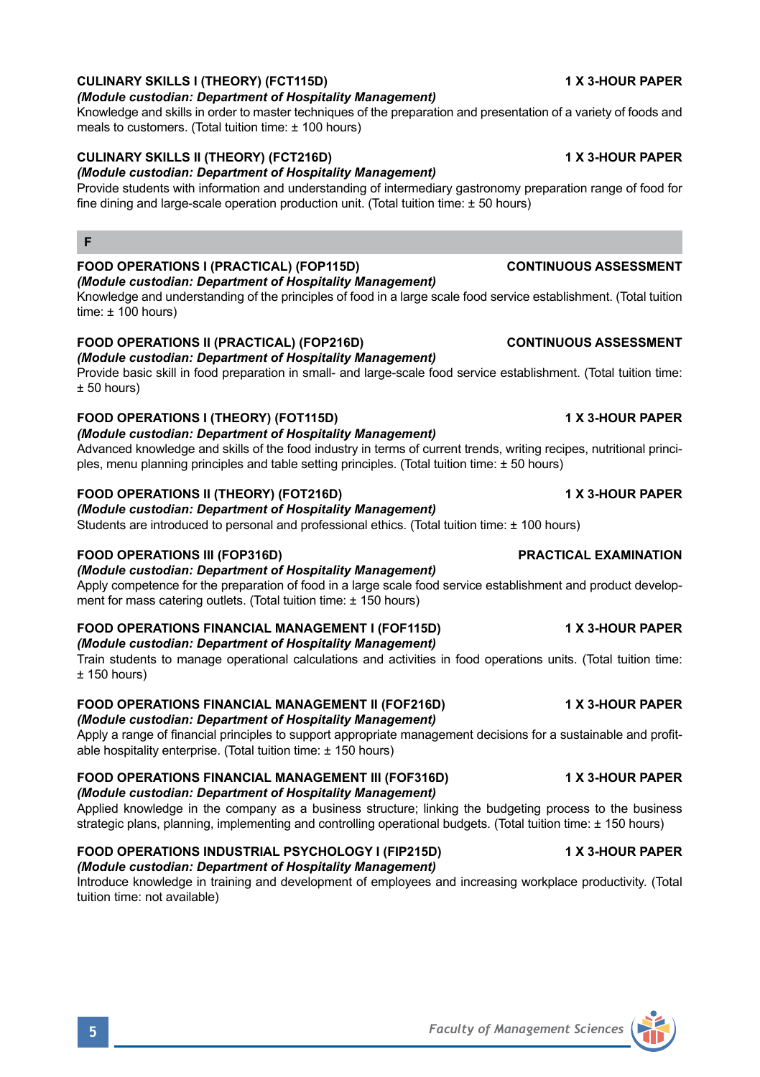## **CULINARY SKILLS I (THEORY) (FCT115D) 1 X 3-HOUR PAPER**

## *(Module custodian: Department of Hospitality Management)*

Knowledge and skills in order to master techniques of the preparation and presentation of a variety of foods and meals to customers. (Total tuition time: ± 100 hours)

## **CULINARY SKILLS II (THEORY) (FCT216D) 1 X 3-HOUR PAPER**

## *(Module custodian: Department of Hospitality Management)*

Provide students with information and understanding of intermediary gastronomy preparation range of food for fine dining and large-scale operation production unit. (Total tuition time: ± 50 hours)

# **FOOD OPERATIONS I (PRACTICAL) (FOP115D) CONTINUOUS ASSESSMENT**

**F**

*(Module custodian: Department of Hospitality Management)*

Knowledge and understanding of the principles of food in a large scale food service establishment. (Total tuition time:  $\pm$  100 hours)

# **FOOD OPERATIONS II (PRACTICAL) (FOP216D) CONTINUOUS ASSESSMENT**

*(Module custodian: Department of Hospitality Management)*  Provide basic skill in food preparation in small- and large-scale food service establishment. (Total tuition time:  $± 50$  hours)

# **FOOD OPERATIONS I (THEORY) (FOT115D) 1 X 3-HOUR PAPER**

*(Module custodian: Department of Hospitality Management)* 

Advanced knowledge and skills of the food industry in terms of current trends, writing recipes, nutritional principles, menu planning principles and table setting principles. (Total tuition time: ± 50 hours)

# **FOOD OPERATIONS II (THEORY) (FOT216D) 1 X 3-HOUR PAPER**

# *(Module custodian: Department of Hospitality Management)*

Students are introduced to personal and professional ethics. (Total tuition time: ± 100 hours)

## **FOOD OPERATIONS III (FOP316D) PRACTICAL EXAMINATION**

*(Module custodian: Department of Hospitality Management)*

Apply competence for the preparation of food in a large scale food service establishment and product development for mass catering outlets. (Total tuition time: ± 150 hours)

## **FOOD OPERATIONS FINANCIAL MANAGEMENT I (FOF115D) 1 X 3-HOUR PAPER**

*(Module custodian: Department of Hospitality Management)*  Train students to manage operational calculations and activities in food operations units. (Total tuition time:  $+ 150$  hours)

### **FOOD OPERATIONS FINANCIAL MANAGEMENT II (FOF216D) 1 X 3-HOUR PAPER** *(Module custodian: Department of Hospitality Management)*

Apply a range of financial principles to support appropriate management decisions for a sustainable and profitable hospitality enterprise. (Total tuition time: ± 150 hours)

# **FOOD OPERATIONS FINANCIAL MANAGEMENT III (FOF316D) 1 X 3-HOUR PAPER**

## *(Module custodian: Department of Hospitality Management)*

Applied knowledge in the company as a business structure; linking the budgeting process to the business strategic plans, planning, implementing and controlling operational budgets. (Total tuition time: ± 150 hours)

### **FOOD OPERATIONS INDUSTRIAL PSYCHOLOGY I (FIP215D) 1 X 3-HOUR PAPER** *(Module custodian: Department of Hospitality Management)*

Introduce knowledge in training and development of employees and increasing workplace productivity. (Total tuition time: not available)

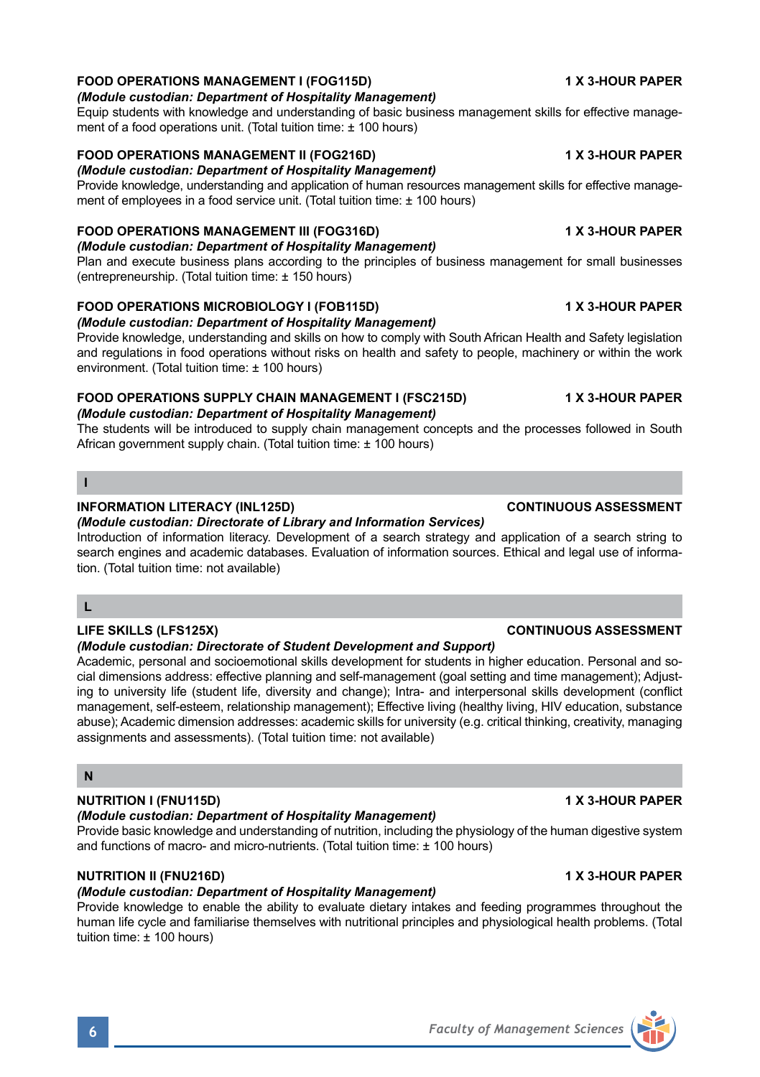## **FOOD OPERATIONS MANAGEMENT I (FOG115D) 1 X 3-HOUR PAPER**

## *(Module custodian: Department of Hospitality Management)*

Equip students with knowledge and understanding of basic business management skills for effective management of a food operations unit. (Total tuition time: ± 100 hours)

## **FOOD OPERATIONS MANAGEMENT II (FOG216D) 1 X 3-HOUR PAPER**

## *(Module custodian: Department of Hospitality Management)*

Provide knowledge, understanding and application of human resources management skills for effective management of employees in a food service unit. (Total tuition time: ± 100 hours)

## **FOOD OPERATIONS MANAGEMENT III (FOG316D) 1 X 3-HOUR PAPER**

*(Module custodian: Department of Hospitality Management)*  Plan and execute business plans according to the principles of business management for small businesses

(entrepreneurship. (Total tuition time: ± 150 hours)

# **FOOD OPERATIONS MICROBIOLOGY I (FOB115D) 1 X 3-HOUR PAPER**

*(Module custodian: Department of Hospitality Management)* 

Provide knowledge, understanding and skills on how to comply with South African Health and Safety legislation and regulations in food operations without risks on health and safety to people, machinery or within the work environment. (Total tuition time: ± 100 hours)

# **FOOD OPERATIONS SUPPLY CHAIN MANAGEMENT I (FSC215D) 4 X 3-HOUR PAPER**

*(Module custodian: Department of Hospitality Management)* 

The students will be introduced to supply chain management concepts and the processes followed in South African government supply chain. (Total tuition time: ± 100 hours)

### **I**

### **INFORMATION LITERACY (INL125D) CONTINUOUS ASSESSMENT**

*(Module custodian: Directorate of Library and Information Services)* 

Introduction of information literacy. Development of a search strategy and application of a search string to search engines and academic databases. Evaluation of information sources. Ethical and legal use of information. (Total tuition time: not available)

## **L**

## **LIFE SKILLS (LFS125X) CONTINUOUS ASSESSMENT**

### *(Module custodian: Directorate of Student Development and Support)*

Academic, personal and socioemotional skills development for students in higher education. Personal and social dimensions address: effective planning and self-management (goal setting and time management); Adjusting to university life (student life, diversity and change); Intra- and interpersonal skills development (conflict management, self-esteem, relationship management); Effective living (healthy living, HIV education, substance abuse); Academic dimension addresses: academic skills for university (e.g. critical thinking, creativity, managing assignments and assessments). (Total tuition time: not available)

### **N**

## **NUTRITION I (FNU115D) 1 X 3-HOUR PAPER**

## *(Module custodian: Department of Hospitality Management)*

Provide basic knowledge and understanding of nutrition, including the physiology of the human digestive system and functions of macro- and micro-nutrients. (Total tuition time: ± 100 hours)

## **NUTRITION II (FNU216D)** 1 X 3-HOUR PAPER

## *(Module custodian: Department of Hospitality Management)*

Provide knowledge to enable the ability to evaluate dietary intakes and feeding programmes throughout the human life cycle and familiarise themselves with nutritional principles and physiological health problems. (Total tuition time: ± 100 hours)